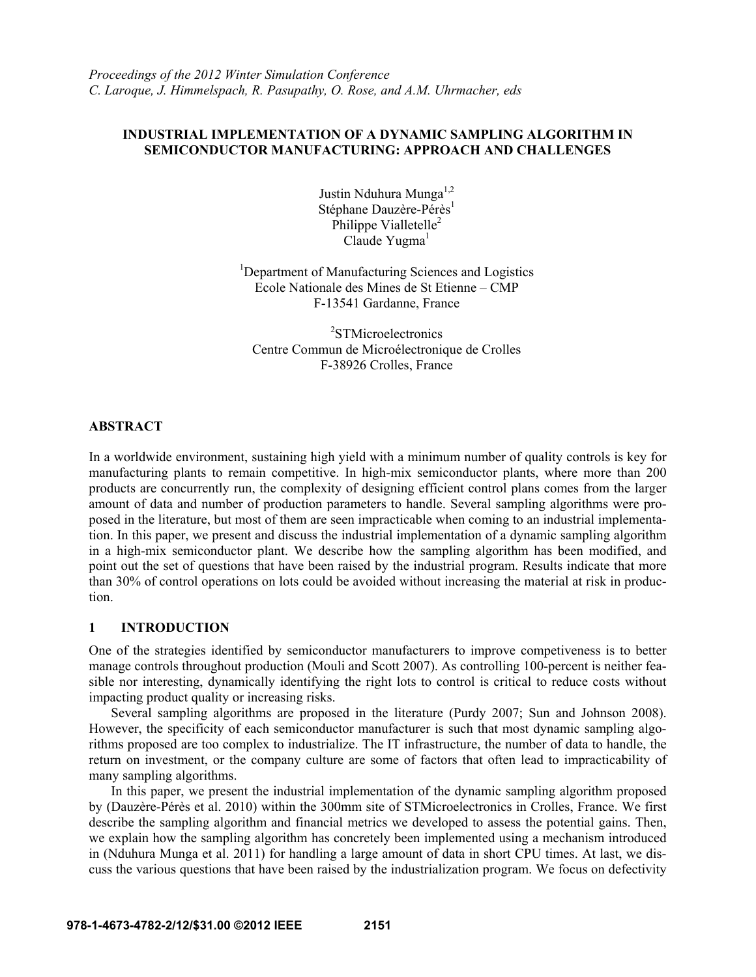#### **INDUSTRIAL IMPLEMENTATION OF A DYNAMIC SAMPLING ALGORITHM IN SEMICONDUCTOR MANUFACTURING: APPROACH AND CHALLENGES**

Justin Nduhura Munga $^{1,2}$ Stéphane Dauzère-Pérès<sup>1</sup> Philippe Vialletelle<sup>2</sup>  $Claude Yuema<sup>1</sup>$ 

<sup>1</sup>Department of Manufacturing Sciences and Logistics Ecole Nationale des Mines de St Etienne – CMP F-13541 Gardanne, France

<sup>2</sup>STMicroelectronics Centre Commun de Microélectronique de Crolles F-38926 Crolles, France

#### **ABSTRACT**

In a worldwide environment, sustaining high yield with a minimum number of quality controls is key for manufacturing plants to remain competitive. In high-mix semiconductor plants, where more than 200 products are concurrently run, the complexity of designing efficient control plans comes from the larger amount of data and number of production parameters to handle. Several sampling algorithms were proposed in the literature, but most of them are seen impracticable when coming to an industrial implementation. In this paper, we present and discuss the industrial implementation of a dynamic sampling algorithm in a high-mix semiconductor plant. We describe how the sampling algorithm has been modified, and point out the set of questions that have been raised by the industrial program. Results indicate that more than 30% of control operations on lots could be avoided without increasing the material at risk in production.

# **1 INTRODUCTION**

One of the strategies identified by semiconductor manufacturers to improve competiveness is to better manage controls throughout production (Mouli and Scott 2007). As controlling 100-percent is neither feasible nor interesting, dynamically identifying the right lots to control is critical to reduce costs without impacting product quality or increasing risks.

Several sampling algorithms are proposed in the literature (Purdy 2007; Sun and Johnson 2008). However, the specificity of each semiconductor manufacturer is such that most dynamic sampling algorithms proposed are too complex to industrialize. The IT infrastructure, the number of data to handle, the return on investment, or the company culture are some of factors that often lead to impracticability of many sampling algorithms.

In this paper, we present the industrial implementation of the dynamic sampling algorithm proposed by (Dauzère-Pérès et al. 2010) within the 300mm site of STMicroelectronics in Crolles, France. We first describe the sampling algorithm and financial metrics we developed to assess the potential gains. Then, we explain how the sampling algorithm has concretely been implemented using a mechanism introduced in (Nduhura Munga et al. 2011) for handling a large amount of data in short CPU times. At last, we discuss the various questions that have been raised by the industrialization program. We focus on defectivity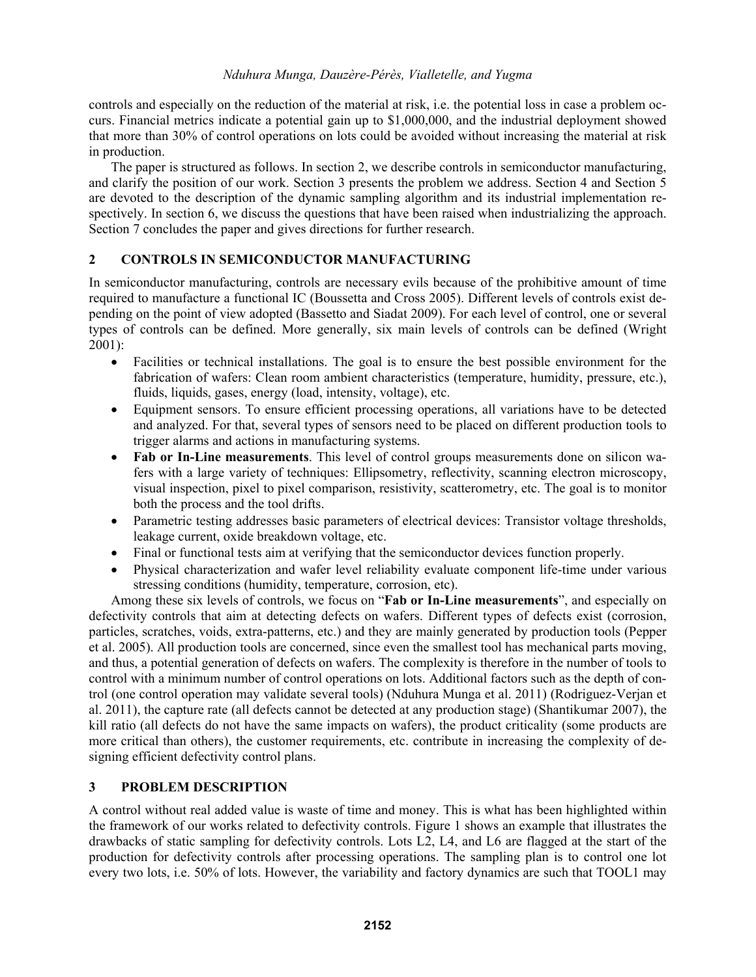# *Nduhura Munga, Dauzère-Pérès, Vialletelle, and Yugma*

controls and especially on the reduction of the material at risk, i.e. the potential loss in case a problem occurs. Financial metrics indicate a potential gain up to \$1,000,000, and the industrial deployment showed that more than 30% of control operations on lots could be avoided without increasing the material at risk in production.

The paper is structured as follows. In section 2, we describe controls in semiconductor manufacturing, and clarify the position of our work. Section 3 presents the problem we address. Section 4 and Section 5 are devoted to the description of the dynamic sampling algorithm and its industrial implementation respectively. In section 6, we discuss the questions that have been raised when industrializing the approach. Section 7 concludes the paper and gives directions for further research.

# **2 CONTROLS IN SEMICONDUCTOR MANUFACTURING**

In semiconductor manufacturing, controls are necessary evils because of the prohibitive amount of time required to manufacture a functional IC (Boussetta and Cross 2005). Different levels of controls exist depending on the point of view adopted (Bassetto and Siadat 2009). For each level of control, one or several types of controls can be defined. More generally, six main levels of controls can be defined (Wright 2001):

- Facilities or technical installations. The goal is to ensure the best possible environment for the fabrication of wafers: Clean room ambient characteristics (temperature, humidity, pressure, etc.), fluids, liquids, gases, energy (load, intensity, voltage), etc.
- Equipment sensors. To ensure efficient processing operations, all variations have to be detected and analyzed. For that, several types of sensors need to be placed on different production tools to trigger alarms and actions in manufacturing systems.
- **Fab or In-Line measurements**. This level of control groups measurements done on silicon wafers with a large variety of techniques: Ellipsometry, reflectivity, scanning electron microscopy, visual inspection, pixel to pixel comparison, resistivity, scatterometry, etc. The goal is to monitor both the process and the tool drifts.
- Parametric testing addresses basic parameters of electrical devices: Transistor voltage thresholds, leakage current, oxide breakdown voltage, etc.
- Final or functional tests aim at verifying that the semiconductor devices function properly.
- Physical characterization and wafer level reliability evaluate component life-time under various stressing conditions (humidity, temperature, corrosion, etc).

 Among these six levels of controls, we focus on "**Fab or In-Line measurements**", and especially on defectivity controls that aim at detecting defects on wafers. Different types of defects exist (corrosion, particles, scratches, voids, extra-patterns, etc.) and they are mainly generated by production tools (Pepper et al. 2005). All production tools are concerned, since even the smallest tool has mechanical parts moving, and thus, a potential generation of defects on wafers. The complexity is therefore in the number of tools to control with a minimum number of control operations on lots. Additional factors such as the depth of control (one control operation may validate several tools) (Nduhura Munga et al. 2011) (Rodriguez-Verjan et al. 2011), the capture rate (all defects cannot be detected at any production stage) (Shantikumar 2007), the kill ratio (all defects do not have the same impacts on wafers), the product criticality (some products are more critical than others), the customer requirements, etc. contribute in increasing the complexity of designing efficient defectivity control plans.

# **3 PROBLEM DESCRIPTION**

A control without real added value is waste of time and money. This is what has been highlighted within the framework of our works related to defectivity controls. Figure 1 shows an example that illustrates the drawbacks of static sampling for defectivity controls. Lots L2, L4, and L6 are flagged at the start of the production for defectivity controls after processing operations. The sampling plan is to control one lot every two lots, i.e. 50% of lots. However, the variability and factory dynamics are such that TOOL1 may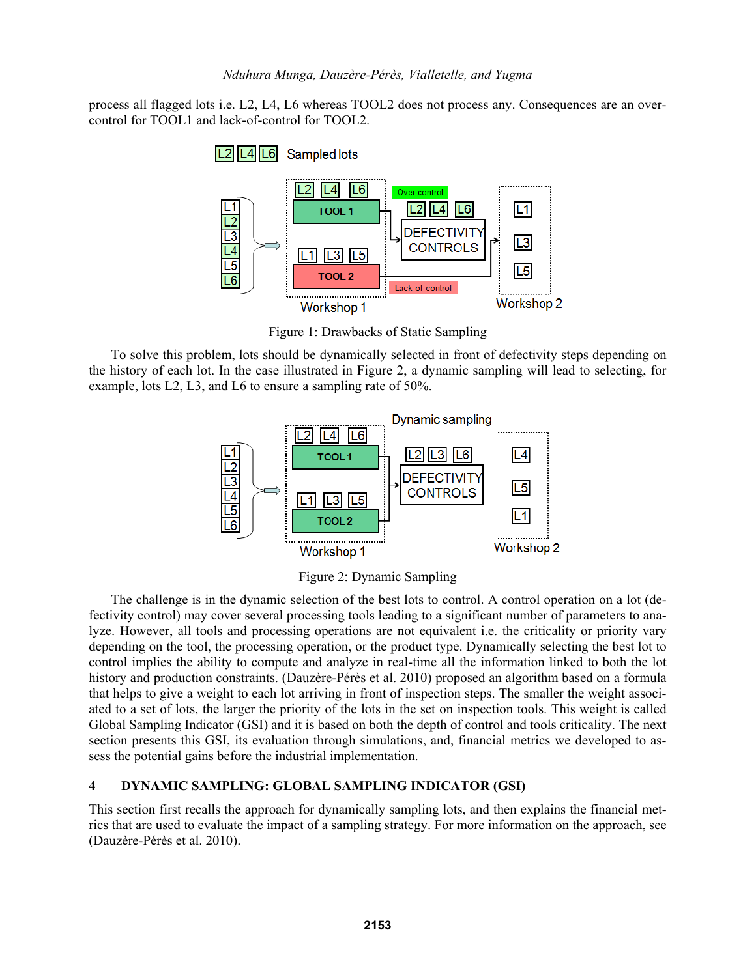process all flagged lots i.e. L2, L4, L6 whereas TOOL2 does not process any. Consequences are an overcontrol for TOOL1 and lack-of-control for TOOL2.



Figure 1: Drawbacks of Static Sampling

To solve this problem, lots should be dynamically selected in front of defectivity steps depending on the history of each lot. In the case illustrated in Figure 2, a dynamic sampling will lead to selecting, for example, lots L2, L3, and L6 to ensure a sampling rate of 50%.



Figure 2: Dynamic Sampling

The challenge is in the dynamic selection of the best lots to control. A control operation on a lot (defectivity control) may cover several processing tools leading to a significant number of parameters to analyze. However, all tools and processing operations are not equivalent i.e. the criticality or priority vary depending on the tool, the processing operation, or the product type. Dynamically selecting the best lot to control implies the ability to compute and analyze in real-time all the information linked to both the lot history and production constraints. (Dauzère-Pérès et al. 2010) proposed an algorithm based on a formula that helps to give a weight to each lot arriving in front of inspection steps. The smaller the weight associated to a set of lots, the larger the priority of the lots in the set on inspection tools. This weight is called Global Sampling Indicator (GSI) and it is based on both the depth of control and tools criticality. The next section presents this GSI, its evaluation through simulations, and, financial metrics we developed to assess the potential gains before the industrial implementation.

# **4 DYNAMIC SAMPLING: GLOBAL SAMPLING INDICATOR (GSI)**

This section first recalls the approach for dynamically sampling lots, and then explains the financial metrics that are used to evaluate the impact of a sampling strategy. For more information on the approach, see (Dauzère-Pérès et al. 2010).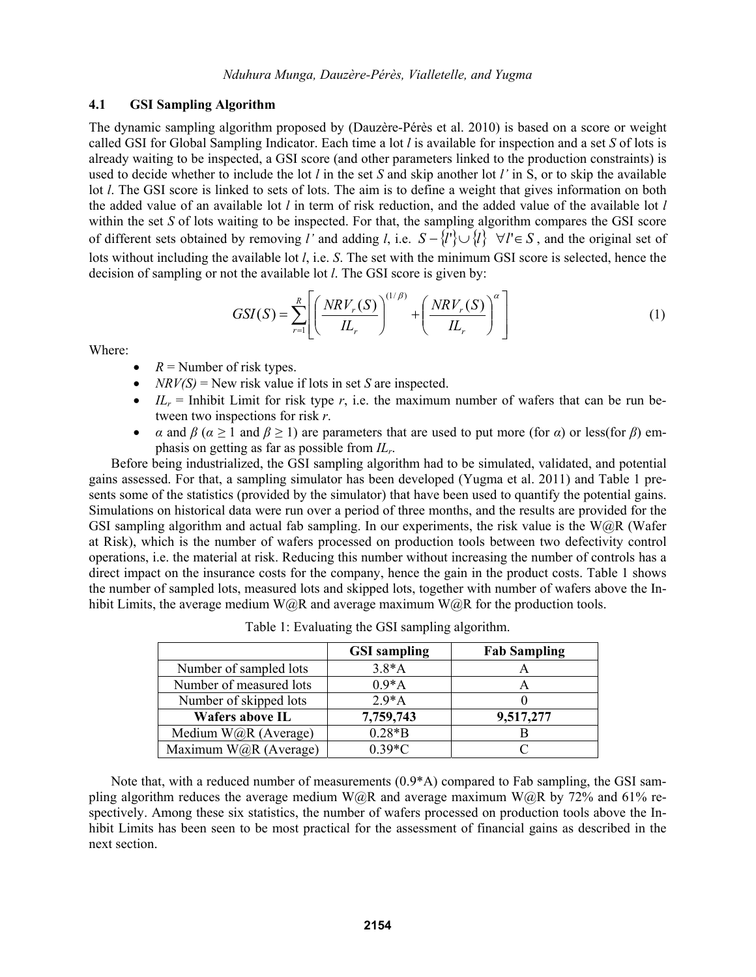## **4.1 GSI Sampling Algorithm**

The dynamic sampling algorithm proposed by (Dauzère-Pérès et al. 2010) is based on a score or weight called GSI for Global Sampling Indicator. Each time a lot *l* is available for inspection and a set *S* of lots is already waiting to be inspected, a GSI score (and other parameters linked to the production constraints) is used to decide whether to include the lot *l* in the set *S* and skip another lot *l'* in S, or to skip the available lot *l*. The GSI score is linked to sets of lots. The aim is to define a weight that gives information on both the added value of an available lot *l* in term of risk reduction, and the added value of the available lot *l* within the set *S* of lots waiting to be inspected. For that, the sampling algorithm compares the GSI score of different sets obtained by removing *l'* and adding *l*, i.e.  $S - \{l' \} \cup \{l\} \ \forall l \in S$ , and the original set of lots without including the available lot *l*, i.e. *S*. The set with the minimum GSI score is selected, hence the decision of sampling or not the available lot *l*. The GSI score is given by:

$$
GSI(S) = \sum_{r=1}^{R} \left[ \left( \frac{NRV_r(S)}{IL_r} \right)^{(1/\beta)} + \left( \frac{NRV_r(S)}{IL_r} \right)^{\alpha} \right]
$$
(1)

Where:

- $R =$  Number of risk types.
- $NRY(S) =$  New risk value if lots in set *S* are inspected.
- $IL_r = Inhibit Limit for risk type r, i.e. the maximum number of wafers that can be run be$ tween two inspections for risk *r*.
- *α* and  $\beta$  ( $\alpha \ge 1$  and  $\beta \ge 1$ ) are parameters that are used to put more (for  $\alpha$ ) or less(for  $\beta$ ) emphasis on getting as far as possible from *ILr*.

 Before being industrialized, the GSI sampling algorithm had to be simulated, validated, and potential gains assessed. For that, a sampling simulator has been developed (Yugma et al. 2011) and Table 1 presents some of the statistics (provided by the simulator) that have been used to quantify the potential gains. Simulations on historical data were run over a period of three months, and the results are provided for the GSI sampling algorithm and actual fab sampling. In our experiments, the risk value is the W@R (Wafer at Risk), which is the number of wafers processed on production tools between two defectivity control operations, i.e. the material at risk. Reducing this number without increasing the number of controls has a direct impact on the insurance costs for the company, hence the gain in the product costs. Table 1 shows the number of sampled lots, measured lots and skipped lots, together with number of wafers above the Inhibit Limits, the average medium  $W(\widehat{a})R$  and average maximum  $W(\widehat{a})R$  for the production tools.

|                         | <b>GSI</b> sampling | <b>Fab Sampling</b> |
|-------------------------|---------------------|---------------------|
| Number of sampled lots  | $3.8*A$             | Α                   |
| Number of measured lots | $0.9*A$             |                     |
| Number of skipped lots  | $2.9*A$             |                     |
| Wafers above IL         | 7,759,743           | 9,517,277           |
| Medium $W@R$ (Average)  | $0.28*B$            |                     |
| Maximum W@R (Average)   | $0.39*C$            |                     |

Table 1: Evaluating the GSI sampling algorithm.

 Note that, with a reduced number of measurements (0.9\*A) compared to Fab sampling, the GSI sampling algorithm reduces the average medium W@R and average maximum W@R by 72% and 61% respectively. Among these six statistics, the number of wafers processed on production tools above the Inhibit Limits has been seen to be most practical for the assessment of financial gains as described in the next section.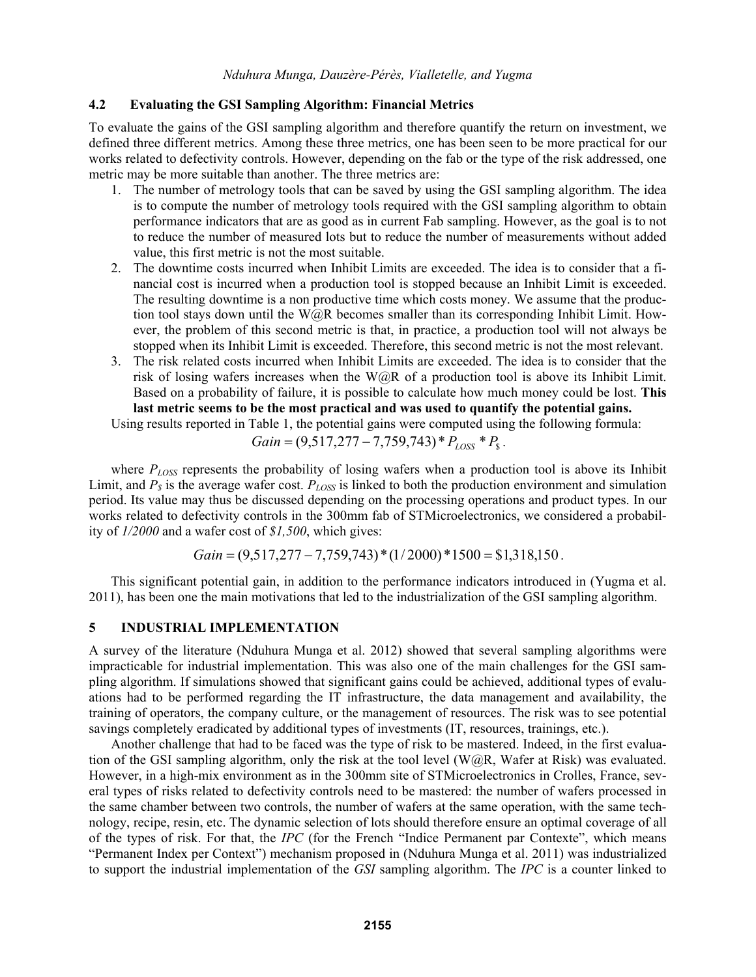#### **4.2 Evaluating the GSI Sampling Algorithm: Financial Metrics**

To evaluate the gains of the GSI sampling algorithm and therefore quantify the return on investment, we defined three different metrics. Among these three metrics, one has been seen to be more practical for our works related to defectivity controls. However, depending on the fab or the type of the risk addressed, one metric may be more suitable than another. The three metrics are:

- 1. The number of metrology tools that can be saved by using the GSI sampling algorithm. The idea is to compute the number of metrology tools required with the GSI sampling algorithm to obtain performance indicators that are as good as in current Fab sampling. However, as the goal is to not to reduce the number of measured lots but to reduce the number of measurements without added value, this first metric is not the most suitable.
- 2. The downtime costs incurred when Inhibit Limits are exceeded. The idea is to consider that a financial cost is incurred when a production tool is stopped because an Inhibit Limit is exceeded. The resulting downtime is a non productive time which costs money. We assume that the production tool stays down until the W@R becomes smaller than its corresponding Inhibit Limit. However, the problem of this second metric is that, in practice, a production tool will not always be stopped when its Inhibit Limit is exceeded. Therefore, this second metric is not the most relevant.
- 3. The risk related costs incurred when Inhibit Limits are exceeded. The idea is to consider that the risk of losing wafers increases when the W@R of a production tool is above its Inhibit Limit. Based on a probability of failure, it is possible to calculate how much money could be lost. **This last metric seems to be the most practical and was used to quantify the potential gains.**

Using results reported in Table 1, the potential gains were computed using the following formula:

 $Gain = (9,517,277 - 7,759,743) * P_{Loss} * P_s$ .

where  $P_{LOSS}$  represents the probability of losing wafers when a production tool is above its Inhibit Limit, and  $P_s$  is the average wafer cost.  $P_{LoSS}$  is linked to both the production environment and simulation period. Its value may thus be discussed depending on the processing operations and product types. In our works related to defectivity controls in the 300mm fab of STMicroelectronics, we considered a probability of *1/2000* and a wafer cost of *\$1,500*, which gives:

$$
Gain = (9,517,277 - 7,759,743) * (1/2000) * 1500 = $1,318,150.
$$

 This significant potential gain, in addition to the performance indicators introduced in (Yugma et al. 2011), has been one the main motivations that led to the industrialization of the GSI sampling algorithm.

#### **5 INDUSTRIAL IMPLEMENTATION**

A survey of the literature (Nduhura Munga et al. 2012) showed that several sampling algorithms were impracticable for industrial implementation. This was also one of the main challenges for the GSI sampling algorithm. If simulations showed that significant gains could be achieved, additional types of evaluations had to be performed regarding the IT infrastructure, the data management and availability, the training of operators, the company culture, or the management of resources. The risk was to see potential savings completely eradicated by additional types of investments (IT, resources, trainings, etc.).

 Another challenge that had to be faced was the type of risk to be mastered. Indeed, in the first evaluation of the GSI sampling algorithm, only the risk at the tool level (W@R, Wafer at Risk) was evaluated. However, in a high-mix environment as in the 300mm site of STMicroelectronics in Crolles, France, several types of risks related to defectivity controls need to be mastered: the number of wafers processed in the same chamber between two controls, the number of wafers at the same operation, with the same technology, recipe, resin, etc. The dynamic selection of lots should therefore ensure an optimal coverage of all of the types of risk. For that, the *IPC* (for the French "Indice Permanent par Contexte", which means "Permanent Index per Context") mechanism proposed in (Nduhura Munga et al. 2011) was industrialized to support the industrial implementation of the *GSI* sampling algorithm. The *IPC* is a counter linked to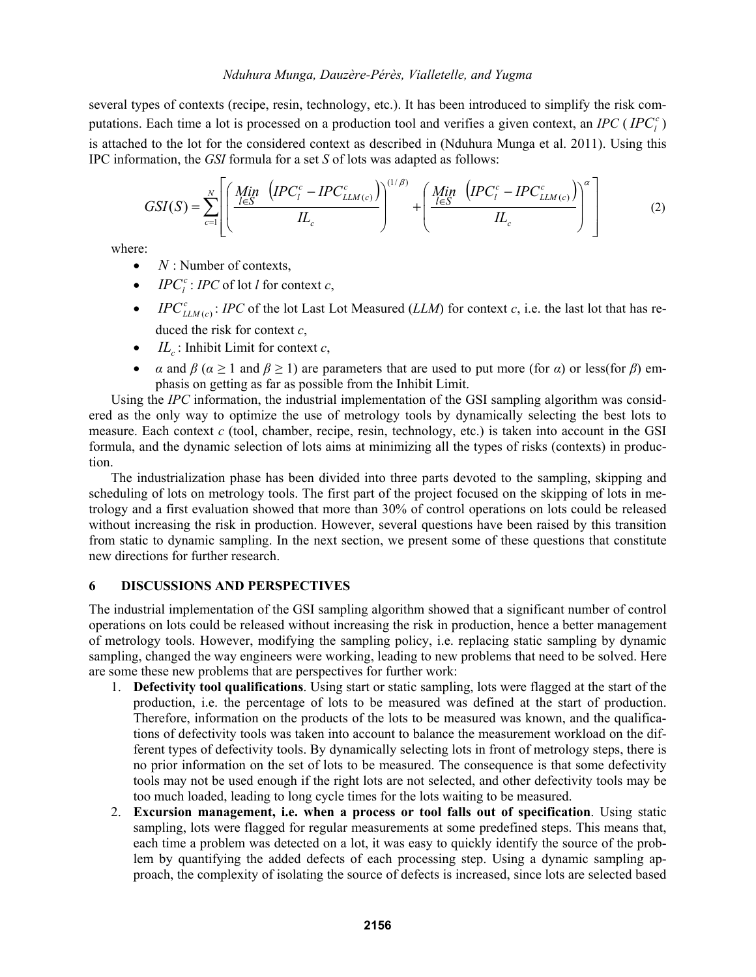#### *Nduhura Munga, Dauzère-Pérès, Vialletelle, and Yugma*

several types of contexts (recipe, resin, technology, etc.). It has been introduced to simplify the risk computations. Each time a lot is processed on a production tool and verifies a given context, an *IPC* (*IPC*<sup> $c$ </sup>) is attached to the lot for the considered context as described in (Nduhura Munga et al. 2011). Using this IPC information, the *GSI* formula for a set *S* of lots was adapted as follows:

$$
GSI(S) = \sum_{c=1}^{N} \left[ \left( \frac{Min}{\frac{I\epsilon S}{\mu C} \left( \frac{IPC_{I}^{c} - IPC_{LLM(c)}^{c}}{IL_{c}} \right)} \right)^{(1/\beta)} + \left( \frac{Min}{\frac{I\epsilon S}{\mu C} \left( \frac{IPC_{I}^{c} - IPC_{LLM(c)}^{c}}{IL_{c}} \right)} \right)^{\alpha} \right]
$$
(2)

where:

- *N* : Number of contexts,
- *IPC*<sup>*c*</sup>: *IPC* of lot *l* for context *c*,
- *IPC*<sup>c</sup><sub>*LLM*(c)</sub>: *IPC* of the lot Last Lot Measured (*LLM*) for context *c*, i.e. the last lot that has reduced the risk for context *c*,
- $IL_c$ : Inhibit Limit for context *c*,
- *α* and  $\beta$  ( $\alpha \ge 1$  and  $\beta \ge 1$ ) are parameters that are used to put more (for  $\alpha$ ) or less(for  $\beta$ ) emphasis on getting as far as possible from the Inhibit Limit.

 Using the *IPC* information, the industrial implementation of the GSI sampling algorithm was considered as the only way to optimize the use of metrology tools by dynamically selecting the best lots to measure. Each context *c* (tool, chamber, recipe, resin, technology, etc.) is taken into account in the GSI formula, and the dynamic selection of lots aims at minimizing all the types of risks (contexts) in production.

 The industrialization phase has been divided into three parts devoted to the sampling, skipping and scheduling of lots on metrology tools. The first part of the project focused on the skipping of lots in metrology and a first evaluation showed that more than 30% of control operations on lots could be released without increasing the risk in production. However, several questions have been raised by this transition from static to dynamic sampling. In the next section, we present some of these questions that constitute new directions for further research.

# **6 DISCUSSIONS AND PERSPECTIVES**

The industrial implementation of the GSI sampling algorithm showed that a significant number of control operations on lots could be released without increasing the risk in production, hence a better management of metrology tools. However, modifying the sampling policy, i.e. replacing static sampling by dynamic sampling, changed the way engineers were working, leading to new problems that need to be solved. Here are some these new problems that are perspectives for further work:

- 1. **Defectivity tool qualifications**. Using start or static sampling, lots were flagged at the start of the production, i.e. the percentage of lots to be measured was defined at the start of production. Therefore, information on the products of the lots to be measured was known, and the qualifications of defectivity tools was taken into account to balance the measurement workload on the different types of defectivity tools. By dynamically selecting lots in front of metrology steps, there is no prior information on the set of lots to be measured. The consequence is that some defectivity tools may not be used enough if the right lots are not selected, and other defectivity tools may be too much loaded, leading to long cycle times for the lots waiting to be measured.
- 2. **Excursion management, i.e. when a process or tool falls out of specification**. Using static sampling, lots were flagged for regular measurements at some predefined steps. This means that, each time a problem was detected on a lot, it was easy to quickly identify the source of the problem by quantifying the added defects of each processing step. Using a dynamic sampling approach, the complexity of isolating the source of defects is increased, since lots are selected based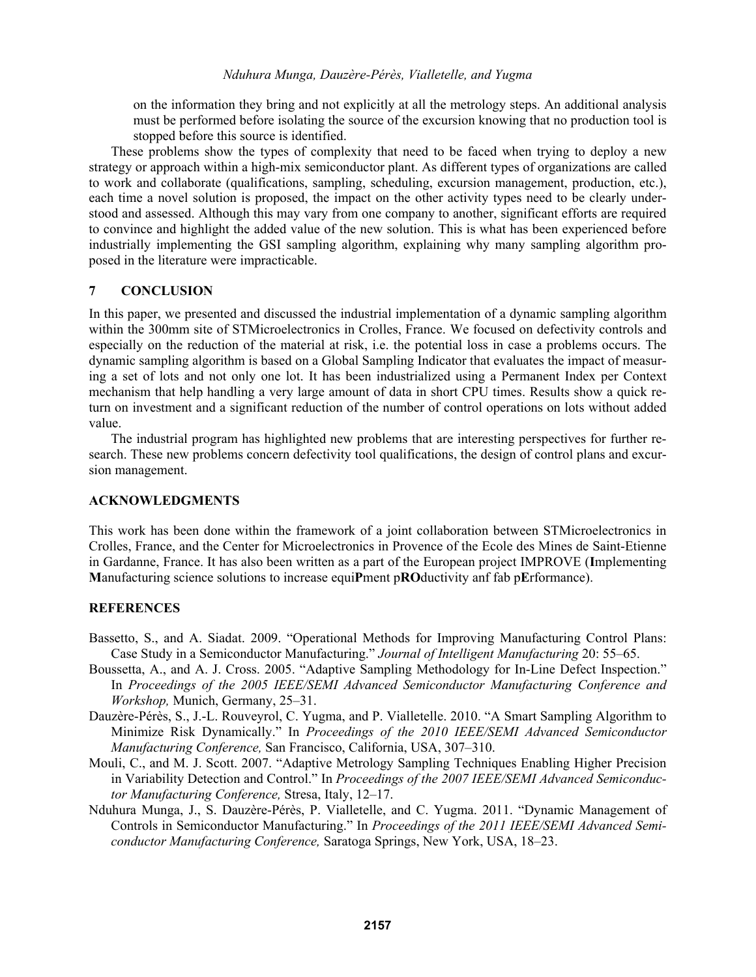on the information they bring and not explicitly at all the metrology steps. An additional analysis must be performed before isolating the source of the excursion knowing that no production tool is stopped before this source is identified.

 These problems show the types of complexity that need to be faced when trying to deploy a new strategy or approach within a high-mix semiconductor plant. As different types of organizations are called to work and collaborate (qualifications, sampling, scheduling, excursion management, production, etc.), each time a novel solution is proposed, the impact on the other activity types need to be clearly understood and assessed. Although this may vary from one company to another, significant efforts are required to convince and highlight the added value of the new solution. This is what has been experienced before industrially implementing the GSI sampling algorithm, explaining why many sampling algorithm proposed in the literature were impracticable.

## **7 CONCLUSION**

In this paper, we presented and discussed the industrial implementation of a dynamic sampling algorithm within the 300mm site of STMicroelectronics in Crolles, France. We focused on defectivity controls and especially on the reduction of the material at risk, i.e. the potential loss in case a problems occurs. The dynamic sampling algorithm is based on a Global Sampling Indicator that evaluates the impact of measuring a set of lots and not only one lot. It has been industrialized using a Permanent Index per Context mechanism that help handling a very large amount of data in short CPU times. Results show a quick return on investment and a significant reduction of the number of control operations on lots without added value.

 The industrial program has highlighted new problems that are interesting perspectives for further research. These new problems concern defectivity tool qualifications, the design of control plans and excursion management.

## **ACKNOWLEDGMENTS**

This work has been done within the framework of a joint collaboration between STMicroelectronics in Crolles, France, and the Center for Microelectronics in Provence of the Ecole des Mines de Saint-Etienne in Gardanne, France. It has also been written as a part of the European project IMPROVE (**I**mplementing **M**anufacturing science solutions to increase equi**P**ment p**RO**ductivity anf fab p**E**rformance).

## **REFERENCES**

- Bassetto, S., and A. Siadat. 2009. "Operational Methods for Improving Manufacturing Control Plans: Case Study in a Semiconductor Manufacturing." *Journal of Intelligent Manufacturing* 20: 55–65.
- Boussetta, A., and A. J. Cross. 2005. "Adaptive Sampling Methodology for In-Line Defect Inspection." In *Proceedings of the 2005 IEEE/SEMI Advanced Semiconductor Manufacturing Conference and Workshop,* Munich, Germany, 25–31.
- Dauzère-Pérès, S., J.-L. Rouveyrol, C. Yugma, and P. Vialletelle. 2010. "A Smart Sampling Algorithm to Minimize Risk Dynamically." In *Proceedings of the 2010 IEEE/SEMI Advanced Semiconductor Manufacturing Conference,* San Francisco, California, USA, 307–310.
- Mouli, C., and M. J. Scott. 2007. "Adaptive Metrology Sampling Techniques Enabling Higher Precision in Variability Detection and Control." In *Proceedings of the 2007 IEEE/SEMI Advanced Semiconductor Manufacturing Conference,* Stresa, Italy, 12–17.
- Nduhura Munga, J., S. Dauzère-Pérès, P. Vialletelle, and C. Yugma. 2011. "Dynamic Management of Controls in Semiconductor Manufacturing." In *Proceedings of the 2011 IEEE/SEMI Advanced Semiconductor Manufacturing Conference,* Saratoga Springs, New York, USA, 18–23.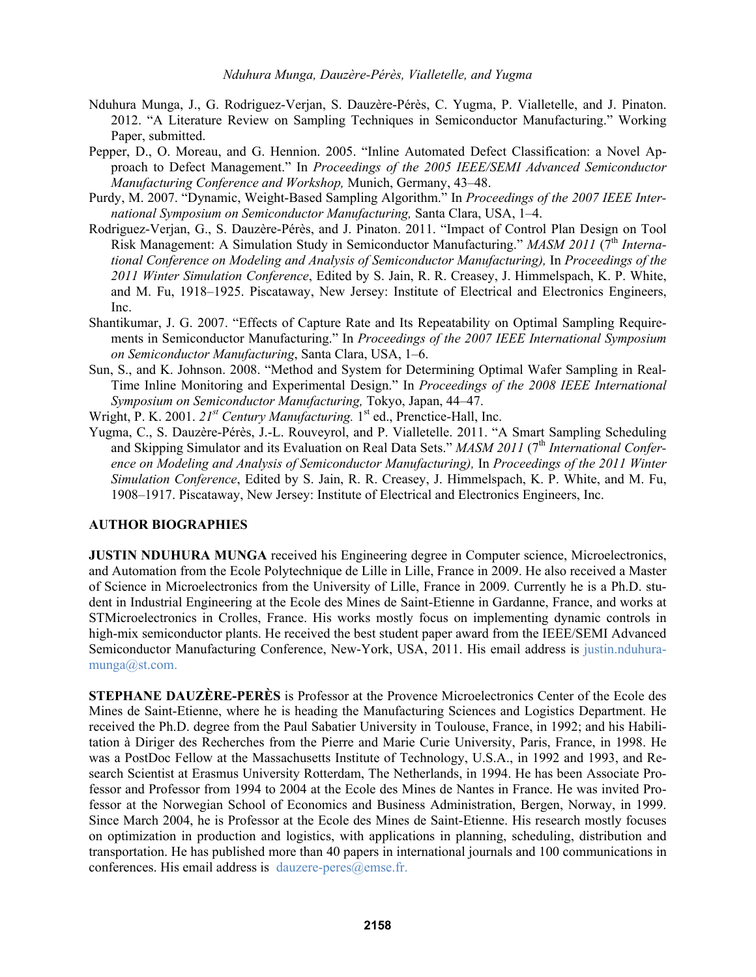- Nduhura Munga, J., G. Rodriguez-Verjan, S. Dauzère-Pérès, C. Yugma, P. Vialletelle, and J. Pinaton. 2012. "A Literature Review on Sampling Techniques in Semiconductor Manufacturing." Working Paper, submitted.
- Pepper, D., O. Moreau, and G. Hennion. 2005. "Inline Automated Defect Classification: a Novel Approach to Defect Management." In *Proceedings of the 2005 IEEE/SEMI Advanced Semiconductor Manufacturing Conference and Workshop,* Munich, Germany, 43–48.
- Purdy, M. 2007. "Dynamic, Weight-Based Sampling Algorithm." In *Proceedings of the 2007 IEEE International Symposium on Semiconductor Manufacturing,* Santa Clara, USA, 1–4.
- Rodriguez-Verjan, G., S. Dauzère-Pérès, and J. Pinaton. 2011. "Impact of Control Plan Design on Tool Risk Management: A Simulation Study in Semiconductor Manufacturing." *MASM 2011* (7th *International Conference on Modeling and Analysis of Semiconductor Manufacturing),* In *Proceedings of the 2011 Winter Simulation Conference*, Edited by S. Jain, R. R. Creasey, J. Himmelspach, K. P. White, and M. Fu, 1918–1925. Piscataway, New Jersey: Institute of Electrical and Electronics Engineers, Inc.
- Shantikumar, J. G. 2007. "Effects of Capture Rate and Its Repeatability on Optimal Sampling Requirements in Semiconductor Manufacturing." In *Proceedings of the 2007 IEEE International Symposium on Semiconductor Manufacturing*, Santa Clara, USA, 1–6.
- Sun, S., and K. Johnson. 2008. "Method and System for Determining Optimal Wafer Sampling in Real-Time Inline Monitoring and Experimental Design." In *Proceedings of the 2008 IEEE International Symposium on Semiconductor Manufacturing,* Tokyo, Japan, 44–47.
- Wright, P. K. 2001. 21<sup>st</sup> Century Manufacturing. 1<sup>st</sup> ed., Prenctice-Hall, Inc.
- Yugma, C., S. Dauzère-Pérès, J.-L. Rouveyrol, and P. Vialletelle. 2011. "A Smart Sampling Scheduling and Skipping Simulator and its Evaluation on Real Data Sets." *MASM 2011* (7<sup>th</sup> International Confer*ence on Modeling and Analysis of Semiconductor Manufacturing),* In *Proceedings of the 2011 Winter Simulation Conference*, Edited by S. Jain, R. R. Creasey, J. Himmelspach, K. P. White, and M. Fu, 1908–1917. Piscataway, New Jersey: Institute of Electrical and Electronics Engineers, Inc.

## **AUTHOR BIOGRAPHIES**

**JUSTIN NDUHURA MUNGA** received his Engineering degree in Computer science, Microelectronics, and Automation from the Ecole Polytechnique de Lille in Lille, France in 2009. He also received a Master of Science in Microelectronics from the University of Lille, France in 2009. Currently he is a Ph.D. student in Industrial Engineering at the Ecole des Mines de Saint-Etienne in Gardanne, France, and works at STMicroelectronics in Crolles, France. His works mostly focus on implementing dynamic controls in high-mix semiconductor plants. He received the best student paper award from the IEEE/SEMI Advanced Semiconductor Manufacturing Conference, New-York, USA, 2011. His email address is justin.nduhuramunga@st.com.

**STEPHANE DAUZÈRE-PERÈS** is Professor at the Provence Microelectronics Center of the Ecole des Mines de Saint-Etienne, where he is heading the Manufacturing Sciences and Logistics Department. He received the Ph.D. degree from the Paul Sabatier University in Toulouse, France, in 1992; and his Habilitation à Diriger des Recherches from the Pierre and Marie Curie University, Paris, France, in 1998. He was a PostDoc Fellow at the Massachusetts Institute of Technology, U.S.A., in 1992 and 1993, and Research Scientist at Erasmus University Rotterdam, The Netherlands, in 1994. He has been Associate Professor and Professor from 1994 to 2004 at the Ecole des Mines de Nantes in France. He was invited Professor at the Norwegian School of Economics and Business Administration, Bergen, Norway, in 1999. Since March 2004, he is Professor at the Ecole des Mines de Saint-Etienne. His research mostly focuses on optimization in production and logistics, with applications in planning, scheduling, distribution and transportation. He has published more than 40 papers in international journals and 100 communications in conferences. His email address is dauzere-peres@emse.fr.